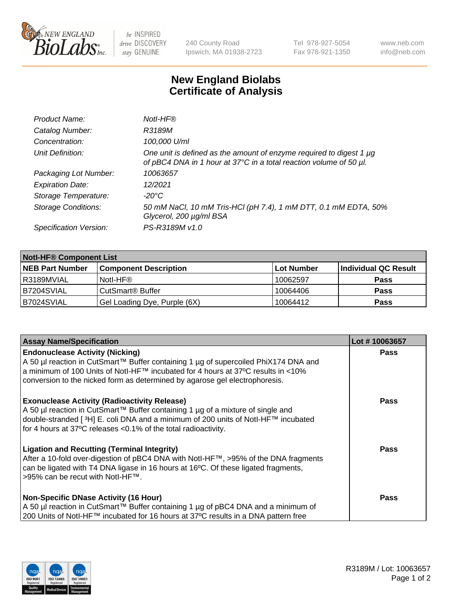

 $be$  INSPIRED drive DISCOVERY stay GENUINE

240 County Road Ipswich, MA 01938-2723 Tel 978-927-5054 Fax 978-921-1350 www.neb.com info@neb.com

## **New England Biolabs Certificate of Analysis**

| Product Name:              | Notl-HF®                                                                                                                                  |
|----------------------------|-------------------------------------------------------------------------------------------------------------------------------------------|
| Catalog Number:            | R3189M                                                                                                                                    |
| Concentration:             | 100,000 U/ml                                                                                                                              |
| Unit Definition:           | One unit is defined as the amount of enzyme required to digest 1 µg<br>of pBC4 DNA in 1 hour at 37°C in a total reaction volume of 50 µl. |
| Packaging Lot Number:      | 10063657                                                                                                                                  |
| <b>Expiration Date:</b>    | 12/2021                                                                                                                                   |
| Storage Temperature:       | -20°C                                                                                                                                     |
| <b>Storage Conditions:</b> | 50 mM NaCl, 10 mM Tris-HCl (pH 7.4), 1 mM DTT, 0.1 mM EDTA, 50%<br>Glycerol, 200 µg/ml BSA                                                |
| Specification Version:     | PS-R3189M v1.0                                                                                                                            |

| <b>Notl-HF® Component List</b> |                              |            |                      |  |  |
|--------------------------------|------------------------------|------------|----------------------|--|--|
| <b>NEB Part Number</b>         | <b>Component Description</b> | Lot Number | Individual QC Result |  |  |
| R3189MVIAL                     | Notl-HF®                     | 10062597   | <b>Pass</b>          |  |  |
| IB7204SVIAL                    | CutSmart <sup>®</sup> Buffer | 10064406   | <b>Pass</b>          |  |  |
| B7024SVIAL                     | Gel Loading Dye, Purple (6X) | 10064412   | <b>Pass</b>          |  |  |

| <b>Assay Name/Specification</b>                                                                                                                                                                                                                                                                              | Lot #10063657 |
|--------------------------------------------------------------------------------------------------------------------------------------------------------------------------------------------------------------------------------------------------------------------------------------------------------------|---------------|
| <b>Endonuclease Activity (Nicking)</b><br>  A 50 µl reaction in CutSmart™ Buffer containing 1 µg of supercoiled PhiX174 DNA and                                                                                                                                                                              | <b>Pass</b>   |
| a minimum of 100 Units of Notl-HF™ incubated for 4 hours at 37°C results in <10%<br>conversion to the nicked form as determined by agarose gel electrophoresis.                                                                                                                                              |               |
| <b>Exonuclease Activity (Radioactivity Release)</b><br>  A 50 µl reaction in CutSmart™ Buffer containing 1 µg of a mixture of single and<br>double-stranded [ <sup>3</sup> H] E. coli DNA and a minimum of 200 units of Notl-HF™ incubated<br>for 4 hours at 37°C releases <0.1% of the total radioactivity. | Pass          |
| <b>Ligation and Recutting (Terminal Integrity)</b><br>After a 10-fold over-digestion of pBC4 DNA with Notl-HF™, >95% of the DNA fragments<br>can be ligated with T4 DNA ligase in 16 hours at 16 <sup>o</sup> C. Of these ligated fragments,<br>1>95% can be recut with NotI-HF™.                            | Pass          |
| <b>Non-Specific DNase Activity (16 Hour)</b><br>A 50 µl reaction in CutSmart™ Buffer containing 1 µg of pBC4 DNA and a minimum of<br>200 Units of Notl-HF™ incubated for 16 hours at 37°C results in a DNA pattern free                                                                                      | <b>Pass</b>   |